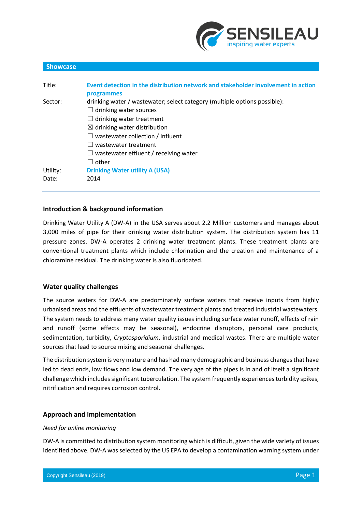

| <b>Showcase</b> |                                                                                   |
|-----------------|-----------------------------------------------------------------------------------|
|                 |                                                                                   |
| Title:          | Event detection in the distribution network and stakeholder involvement in action |
|                 | programmes                                                                        |
| Sector:         | drinking water / wastewater; select category (multiple options possible):         |
|                 | drinking water sources                                                            |
|                 | drinking water treatment                                                          |
|                 | $\boxtimes$ drinking water distribution                                           |
|                 | wastewater collection / influent                                                  |
|                 | wastewater treatment                                                              |
|                 | wastewater effluent / receiving water                                             |
|                 | other                                                                             |
| Utility:        | <b>Drinking Water utility A (USA)</b>                                             |
| Date:           | 2014                                                                              |

# **Introduction & background information**

Drinking Water Utility A (DW-A) in the USA serves about 2.2 Million customers and manages about 3,000 miles of pipe for their drinking water distribution system. The distribution system has 11 pressure zones. DW-A operates 2 drinking water treatment plants. These treatment plants are conventional treatment plants which include chlorination and the creation and maintenance of a chloramine residual. The drinking water is also fluoridated.

# **Water quality challenges**

The source waters for DW-A are predominately surface waters that receive inputs from highly urbanised areas and the effluents of wastewater treatment plants and treated industrial wastewaters. The system needs to address many water quality issues including surface water runoff, effects of rain and runoff (some effects may be seasonal), endocrine disruptors, personal care products, sedimentation, turbidity, *Cryptosporidium*, industrial and medical wastes. There are multiple water sources that lead to source mixing and seasonal challenges.

The distribution system is very mature and has had many demographic and business changesthat have led to dead ends, low flows and low demand. The very age of the pipes is in and of itself a significant challenge which includes significant tuberculation. The system frequently experiences turbidity spikes, nitrification and requires corrosion control.

# **Approach and implementation**

# *Need for online monitoring*

DW-A is committed to distribution system monitoring which is difficult, given the wide variety of issues identified above. DW-A was selected by the US EPA to develop a contamination warning system under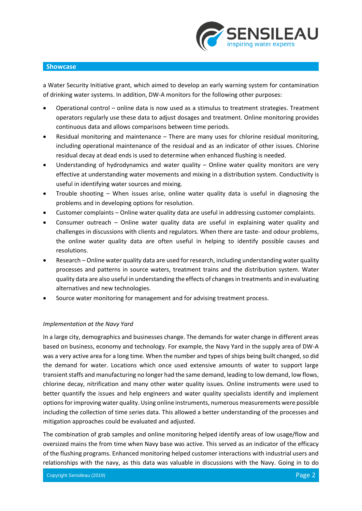

a Water Security Initiative grant, which aimed to develop an early warning system for contamination of drinking water systems. In addition, DW-A monitors for the following other purposes:

- Operational control online data is now used as a stimulus to treatment strategies. Treatment operators regularly use these data to adjust dosages and treatment. Online monitoring provides continuous data and allows comparisons between time periods.
- Residual monitoring and maintenance There are many uses for chlorine residual monitoring, including operational maintenance of the residual and as an indicator of other issues. Chlorine residual decay at dead ends is used to determine when enhanced flushing is needed.
- Understanding of hydrodynamics and water quality Online water quality monitors are very effective at understanding water movements and mixing in a distribution system. Conductivity is useful in identifying water sources and mixing.
- Trouble shooting When issues arise, online water quality data is useful in diagnosing the problems and in developing options for resolution.
- Customer complaints Online water quality data are useful in addressing customer complaints.
- Consumer outreach Online water quality data are useful in explaining water quality and challenges in discussions with clients and regulators. When there are taste- and odour problems, the online water quality data are often useful in helping to identify possible causes and resolutions.
- Research Online water quality data are used for research, including understanding water quality processes and patterns in source waters, treatment trains and the distribution system. Water quality data are also useful in understanding the effects of changesin treatments and in evaluating alternatives and new technologies.
- Source water monitoring for management and for advising treatment process.

# *Implementation at the Navy Yard*

In a large city, demographics and businesses change. The demands for water change in different areas based on business, economy and technology. For example, the Navy Yard in the supply area of DW-A was a very active area for a long time. When the number and types of ships being built changed, so did the demand for water. Locations which once used extensive amounts of water to support large transient staffs and manufacturing no longer had the same demand, leading to low demand, low flows, chlorine decay, nitrification and many other water quality issues. Online instruments were used to better quantify the issues and help engineers and water quality specialists identify and implement options for improving water quality. Using online instruments, numerous measurements were possible including the collection of time series data. This allowed a better understanding of the processes and mitigation approaches could be evaluated and adjusted.

The combination of grab samples and online monitoring helped identify areas of low usage/flow and oversized mains the from time when Navy base was active. This served as an indicator of the efficacy of the flushing programs. Enhanced monitoring helped customer interactions with industrial users and relationships with the navy, as this data was valuable in discussions with the Navy. Going in to do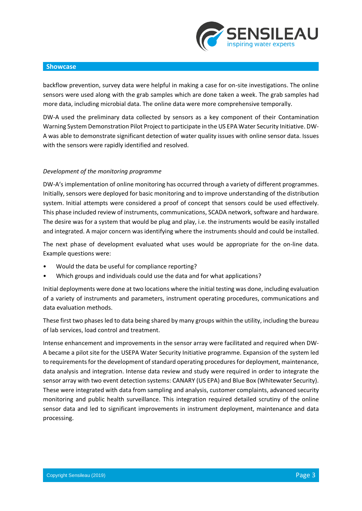

backflow prevention, survey data were helpful in making a case for on-site investigations. The online sensors were used along with the grab samples which are done taken a week. The grab samples had more data, including microbial data. The online data were more comprehensive temporally.

DW-A used the preliminary data collected by sensors as a key component of their Contamination Warning System Demonstration Pilot Project to participate in the US EPA Water Security Initiative. DW-A was able to demonstrate significant detection of water quality issues with online sensor data. Issues with the sensors were rapidly identified and resolved.

# *Development of the monitoring programme*

DW-A'simplementation of online monitoring has occurred through a variety of different programmes. Initially, sensors were deployed for basic monitoring and to improve understanding of the distribution system. Initial attempts were considered a proof of concept that sensors could be used effectively. This phase included review of instruments, communications, SCADA network, software and hardware. The desire was for a system that would be plug and play, i.e. the instruments would be easily installed and integrated. A major concern was identifying where the instruments should and could be installed.

The next phase of development evaluated what uses would be appropriate for the on-line data. Example questions were:

- Would the data be useful for compliance reporting?
- Which groups and individuals could use the data and for what applications?

Initial deployments were done at two locations where the initial testing was done, including evaluation of a variety of instruments and parameters, instrument operating procedures, communications and data evaluation methods.

These first two phases led to data being shared by many groups within the utility, including the bureau of lab services, load control and treatment.

Intense enhancement and improvements in the sensor array were facilitated and required when DW-A became a pilot site for the USEPA Water Security Initiative programme. Expansion of the system led to requirements for the development of standard operating procedures for deployment, maintenance, data analysis and integration. Intense data review and study were required in order to integrate the sensor array with two event detection systems: CANARY (US EPA) and Blue Box (Whitewater Security). These were integrated with data from sampling and analysis, customer complaints, advanced security monitoring and public health surveillance. This integration required detailed scrutiny of the online sensor data and led to significant improvements in instrument deployment, maintenance and data processing.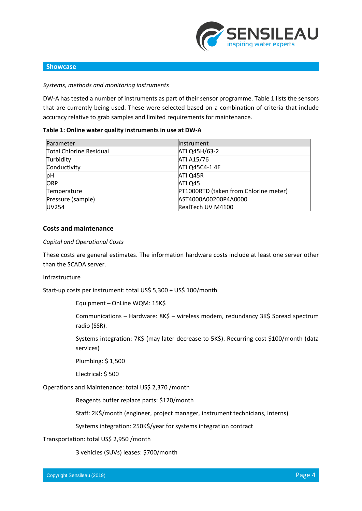

#### *Systems, methods and monitoring instruments*

DW-A has tested a number of instruments as part of their sensor programme. Table 1 lists the sensors that are currently being used. These were selected based on a combination of criteria that include accuracy relative to grab samples and limited requirements for maintenance.

#### **Table 1: Online water quality instruments in use at DW-A**

| Parameter                      | <b>Instrument</b>                     |
|--------------------------------|---------------------------------------|
| <b>Total Chlorine Residual</b> | ATI Q45H/63-2                         |
| Turbidity                      | ATI A15/76                            |
| Conductivity                   | ATI Q45C4-1 4E                        |
| pH                             | ATI Q45R                              |
| ORP                            | ATI Q45                               |
| Temperature                    | PT1000RTD (taken from Chlorine meter) |
| Pressure (sample)              | AST4000A00200P4A0000                  |
| <b>UV254</b>                   | RealTech UV M4100                     |

# **Costs and maintenance**

### *Capital and Operational Costs*

These costs are general estimates. The information hardware costs include at least one server other than the SCADA server.

#### Infrastructure

Start-up costs per instrument: total US\$ 5,300 + US\$ 100/month

Equipment – OnLine WQM: 15K\$

Communications – Hardware: 8K\$ – wireless modem, redundancy 3K\$ Spread spectrum radio (SSR).

Systems integration: 7K\$ (may later decrease to 5K\$). Recurring cost \$100/month (data services)

Plumbing: \$ 1,500

Electrical: \$ 500

Operations and Maintenance: total US\$ 2,370 /month

Reagents buffer replace parts: \$120/month

Staff: 2K\$/month (engineer, project manager, instrument technicians, interns)

Systems integration: 250K\$/year for systems integration contract

#### Transportation: total US\$ 2,950 /month

3 vehicles (SUVs) leases: \$700/month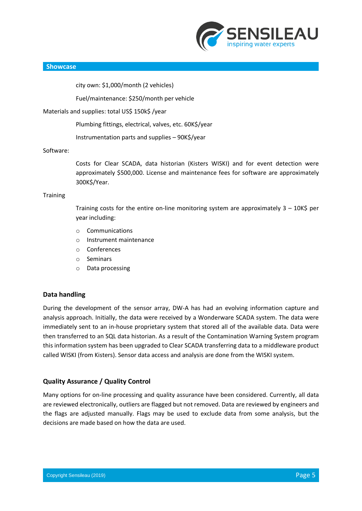

city own: \$1,000/month (2 vehicles)

Fuel/maintenance: \$250/month per vehicle

### Materials and supplies: total US\$ 150k\$ /year

Plumbing fittings, electrical, valves, etc. 60K\$/year

Instrumentation parts and supplies – 90K\$/year

### Software:

Costs for Clear SCADA, data historian (Kisters WISKI) and for event detection were approximately \$500,000. License and maintenance fees for software are approximately 300K\$/Year.

### **Training**

Training costs for the entire on-line monitoring system are approximately  $3 - 10K\$  per year including:

- o Communications
- o Instrument maintenance
- o Conferences
- o Seminars
- o Data processing

# **Data handling**

During the development of the sensor array, DW-A has had an evolving information capture and analysis approach. Initially, the data were received by a Wonderware SCADA system. The data were immediately sent to an in-house proprietary system that stored all of the available data. Data were then transferred to an SQL data historian. As a result of the Contamination Warning System program this information system has been upgraded to Clear SCADA transferring data to a middleware product called WISKI (from Kisters). Sensor data access and analysis are done from the WISKI system.

# **Quality Assurance / Quality Control**

Many options for on-line processing and quality assurance have been considered. Currently, all data are reviewed electronically, outliers are flagged but not removed. Data are reviewed by engineers and the flags are adjusted manually. Flags may be used to exclude data from some analysis, but the decisions are made based on how the data are used.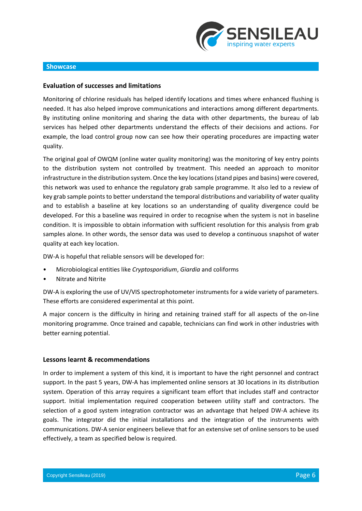

# **Evaluation of successes and limitations**

Monitoring of chlorine residuals has helped identify locations and times where enhanced flushing is needed. It has also helped improve communications and interactions among different departments. By instituting online monitoring and sharing the data with other departments, the bureau of lab services has helped other departments understand the effects of their decisions and actions. For example, the load control group now can see how their operating procedures are impacting water quality.

The original goal of OWQM (online water quality monitoring) was the monitoring of key entry points to the distribution system not controlled by treatment. This needed an approach to monitor infrastructure in the distribution system. Once the key locations (stand pipes and basins) were covered, this network was used to enhance the regulatory grab sample programme. It also led to a review of key grab sample points to better understand the temporal distributions and variability of water quality and to establish a baseline at key locations so an understanding of quality divergence could be developed. For this a baseline was required in order to recognise when the system is not in baseline condition. It is impossible to obtain information with sufficient resolution for this analysis from grab samples alone. In other words, the sensor data was used to develop a continuous snapshot of water quality at each key location.

DW-A is hopeful that reliable sensors will be developed for:

- Microbiological entities like *Cryptosporidium*, *Giardia* and coliforms
- Nitrate and Nitrite

DW-A is exploring the use of UV/VIS spectrophotometer instruments for a wide variety of parameters. These efforts are considered experimental at this point.

A major concern is the difficulty in hiring and retaining trained staff for all aspects of the on-line monitoring programme. Once trained and capable, technicians can find work in other industries with better earning potential.

#### **Lessons learnt & recommendations**

In order to implement a system of this kind, it is important to have the right personnel and contract support. In the past 5 years, DW-A has implemented online sensors at 30 locations in its distribution system. Operation of this array requires a significant team effort that includes staff and contractor support. Initial implementation required cooperation between utility staff and contractors. The selection of a good system integration contractor was an advantage that helped DW-A achieve its goals. The integrator did the initial installations and the integration of the instruments with communications. DW-A senior engineers believe that for an extensive set of online sensors to be used effectively, a team as specified below is required.